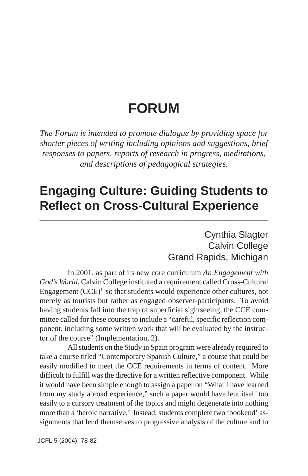# **FORUM**

*The Forum is intended to promote dialogue by providing space for shorter pieces of writing including opinions and suggestions, brief responses to papers, reports of research in progress, meditations, and descriptions of pedagogical strategies.*

### **Engaging Culture: Guiding Students to Reflect on Cross-Cultural Experience \_\_\_\_\_\_\_\_\_\_\_\_\_\_\_\_\_\_\_\_\_\_\_\_\_\_\_\_\_\_\_\_\_**

### Cynthia Slagter Calvin College Grand Rapids, Michigan

In 2001, as part of its new core curriculum *An Engagement with God's World*, Calvin College instituted a requirement called Cross-Cultural Engagement  $(CCE)^1$  so that students would experience other cultures, not merely as tourists but rather as engaged observer-participants. To avoid having students fall into the trap of superficial sightseeing, the CCE committee called for these courses to include a "careful, specific reflection component, including some written work that will be evaluated by the instructor of the course" (Implementation, 2).

All students on the Study in Spain program were already required to take a course titled "Contemporary Spanish Culture," a course that could be easily modified to meet the CCE requirements in terms of content. More difficult to fulfill was the directive for a written reflective component. While it would have been simple enough to assign a paper on "What I have learned from my study abroad experience," such a paper would have lent itself too easily to a cursory treatment of the topics and might degenerate into nothing more than a 'heroic narrative.' Instead, students complete two 'bookend' assignments that lend themselves to progressive analysis of the culture and to

JCFL 5 (2004): 78-82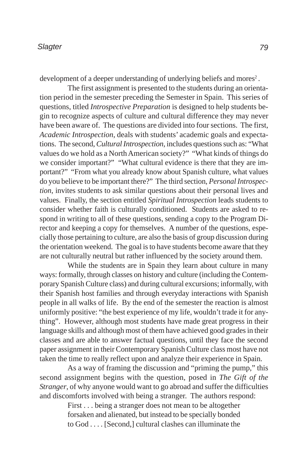development of a deeper understanding of underlying beliefs and mores<sup>2</sup>.

The first assignment is presented to the students during an orientation period in the semester preceding the Semester in Spain. This series of questions, titled *Introspective Preparation* is designed to help students begin to recognize aspects of culture and cultural difference they may never have been aware of. The questions are divided into four sections. The first, *Academic Introspection*, deals with students' academic goals and expectations. The second, *Cultural Introspection*, includes questions such as: "What values do we hold as a North American society?" "What kinds of things do we consider important?" "What cultural evidence is there that they are important?" "From what you already know about Spanish culture, what values do you believe to be important there?" The third section, *Personal Introspection*, invites students to ask similar questions about their personal lives and values. Finally, the section entitled *Spiritual Introspection* leads students to consider whether faith is culturally conditioned. Students are asked to respond in writing to all of these questions, sending a copy to the Program Director and keeping a copy for themselves. A number of the questions, especially those pertaining to culture, are also the basis of group discussion during the orientation weekend. The goal is to have students become aware that they are not culturally neutral but rather influenced by the society around them.

While the students are in Spain they learn about culture in many ways: formally, through classes on history and culture (including the Contemporary Spanish Culture class) and during cultural excursions; informally, with their Spanish host families and through everyday interactions with Spanish people in all walks of life. By the end of the semester the reaction is almost uniformly positive: "the best experience of my life, wouldn't trade it for anything". However, although most students have made great progress in their language skills and although most of them have achieved good grades in their classes and are able to answer factual questions, until they face the second paper assignment in their Contemporary Spanish Culture class most have not taken the time to really reflect upon and analyze their experience in Spain.

As a way of framing the discussion and "priming the pump," this second assignment begins with the question, posed in *The Gift of the Stranger*, of why anyone would want to go abroad and suffer the difficulties and discomforts involved with being a stranger. The authors respond:

> First . . . being a stranger does not mean to be altogether forsaken and alienated, but instead to be specially bonded to God . . . . [Second,] cultural clashes can illuminate the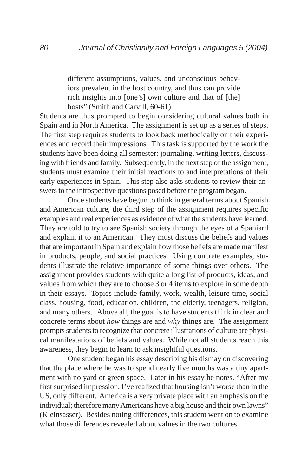different assumptions, values, and unconscious behaviors prevalent in the host country, and thus can provide rich insights into [one's] own culture and that of [the] hosts" (Smith and Carvill, 60-61).

Students are thus prompted to begin considering cultural values both in Spain and in North America. The assignment is set up as a series of steps. The first step requires students to look back methodically on their experiences and record their impressions. This task is supported by the work the students have been doing all semester: journaling, writing letters, discussing with friends and family. Subsequently, in the next step of the assignment, students must examine their initial reactions to and interpretations of their early experiences in Spain. This step also asks students to review their answers to the introspective questions posed before the program began.

Once students have begun to think in general terms about Spanish and American culture, the third step of the assignment requires specific examples and real experiences as evidence of what the students have learned. They are told to try to see Spanish society through the eyes of a Spaniard and explain it to an American. They must discuss the beliefs and values that are important in Spain and explain how those beliefs are made manifest in products, people, and social practices. Using concrete examples, students illustrate the relative importance of some things over others. The assignment provides students with quite a long list of products, ideas, and values from which they are to choose 3 or 4 items to explore in some depth in their essays. Topics include family, work, wealth, leisure time, social class, housing, food, education, children, the elderly, teenagers, religion, and many others. Above all, the goal is to have students think in clear and concrete terms about *how* things are and *why* things are. The assignment prompts students to recognize that concrete illustrations of culture are physical manifestations of beliefs and values. While not all students reach this awareness, they begin to learn to ask insightful questions.

One student began his essay describing his dismay on discovering that the place where he was to spend nearly five months was a tiny apartment with no yard or green space. Later in his essay he notes, "After my first surprised impression, I've realized that housing isn't worse than in the US, only different. America is a very private place with an emphasis on the individual; therefore many Americans have a big house and their own lawns" (Kleinsasser). Besides noting differences, this student went on to examine what those differences revealed about values in the two cultures.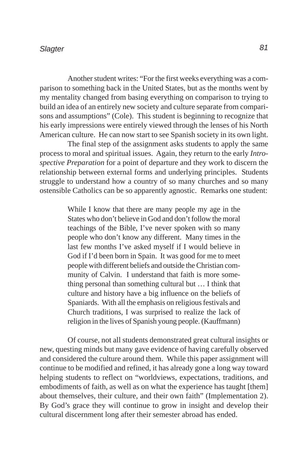#### *Slagter 81*

Another student writes: "For the first weeks everything was a comparison to something back in the United States, but as the months went by my mentality changed from basing everything on comparison to trying to build an idea of an entirely new society and culture separate from comparisons and assumptions" (Cole). This student is beginning to recognize that his early impressions were entirely viewed through the lenses of his North American culture. He can now start to see Spanish society in its own light.

The final step of the assignment asks students to apply the same process to moral and spiritual issues. Again, they return to the early *Introspective Preparation* for a point of departure and they work to discern the relationship between external forms and underlying principles. Students struggle to understand how a country of so many churches and so many ostensible Catholics can be so apparently agnostic. Remarks one student:

> While I know that there are many people my age in the States who don't believe in God and don't follow the moral teachings of the Bible, I've never spoken with so many people who don't know any different. Many times in the last few months I've asked myself if I would believe in God if I'd been born in Spain. It was good for me to meet people with different beliefs and outside the Christian community of Calvin. I understand that faith is more something personal than something cultural but … I think that culture and history have a big influence on the beliefs of Spaniards. With all the emphasis on religious festivals and Church traditions, I was surprised to realize the lack of religion in the lives of Spanish young people. (Kauffmann)

Of course, not all students demonstrated great cultural insights or new, questing minds but many gave evidence of having carefully observed and considered the culture around them. While this paper assignment will continue to be modified and refined, it has already gone a long way toward helping students to reflect on "worldviews, expectations, traditions, and embodiments of faith, as well as on what the experience has taught [them] about themselves, their culture, and their own faith" (Implementation 2). By God's grace they will continue to grow in insight and develop their cultural discernment long after their semester abroad has ended.